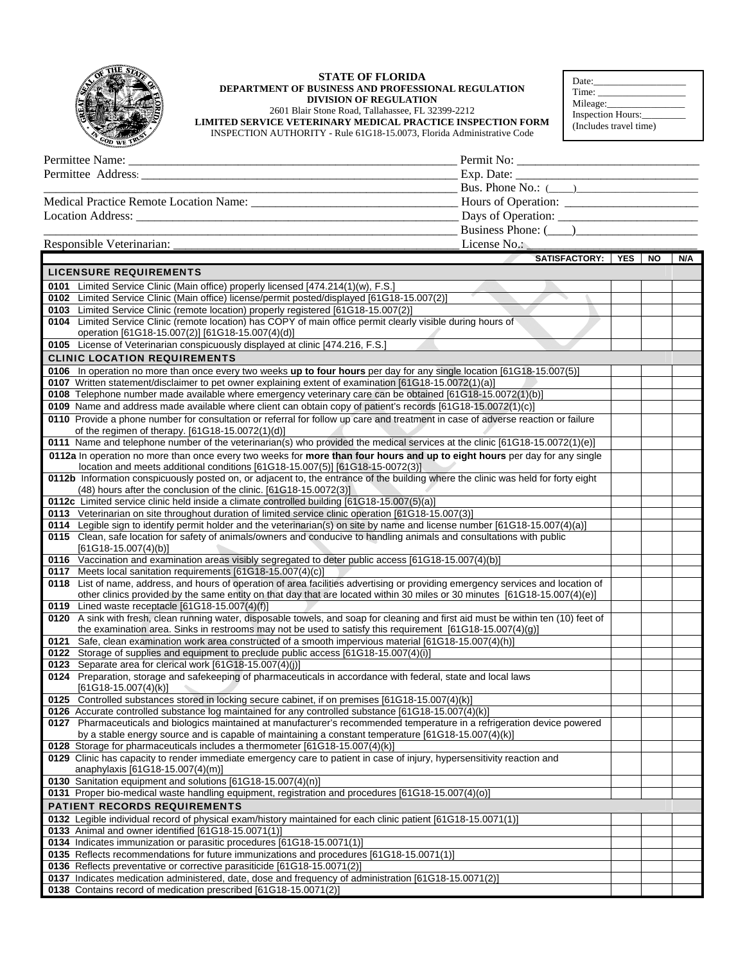

## **STATE OF FLORIDA DEPARTMENT OF BUSINESS AND PROFESSIONAL REGULATION DIVISION OF REGULATION** 2601 Blair Stone Road, Tallahassee, FL 32399-2212 **LIMITED SERVICE VETERINARY MEDICAL PRACTICE INSPECTION FORM**  INSPECTION AUTHORITY - Rule 61G18-15.0073, Florida Administrative Code

| Date:                  |
|------------------------|
| Time:                  |
| Mileage:               |
| Inspection Hours:      |
| (Includes travel time) |

| Permittee Address: 2008. 2009. 2010. 2010. 2010. 2010. 2010. 2010. 2010. 2010. 2010. 2010. 2010. 2010. 2010. 2010. 2010. 2010. 2010. 2010. 2010. 2010. 2010. 2010. 2010. 2010. 2010. 2010. 2010. 2010. 2010. 2010. 2010. 2010. | $\angle$ Exp. Date: $\angle$ |
|--------------------------------------------------------------------------------------------------------------------------------------------------------------------------------------------------------------------------------|------------------------------|
|                                                                                                                                                                                                                                | Bus. Phone No.: $(\_\_)$     |
| Medical Practice Remote Location Name:                                                                                                                                                                                         |                              |
| Location Address:<br><u> 1990 - Jan Barnett, margaret eta bainar (h. 1980).</u>                                                                                                                                                | Days of Operation:           |
|                                                                                                                                                                                                                                | Business Phone: ()           |
| Responsible Veterinarian:                                                                                                                                                                                                      | License No.:                 |

|      | SATISFACTORY: YES                                                                                                                                                                                                                                              | NO | N/A |
|------|----------------------------------------------------------------------------------------------------------------------------------------------------------------------------------------------------------------------------------------------------------------|----|-----|
|      | <b>LICENSURE REQUIREMENTS</b>                                                                                                                                                                                                                                  |    |     |
|      | 0101 Limited Service Clinic (Main office) properly licensed [474.214(1)(w), F.S.]                                                                                                                                                                              |    |     |
|      | 0102 Limited Service Clinic (Main office) license/permit posted/displayed [61G18-15.007(2)]                                                                                                                                                                    |    |     |
|      | 0103 Limited Service Clinic (remote location) properly registered [61G18-15.007(2)]                                                                                                                                                                            |    |     |
|      | 0104 Limited Service Clinic (remote location) has COPY of main office permit clearly visible during hours of<br>operation [61G18-15.007(2)] [61G18-15.007(4)(d)]                                                                                               |    |     |
|      | 0105 License of Veterinarian conspicuously displayed at clinic [474.216, F.S.]                                                                                                                                                                                 |    |     |
|      | <b>CLINIC LOCATION REQUIREMENTS</b>                                                                                                                                                                                                                            |    |     |
|      | 0106 In operation no more than once every two weeks up to four hours per day for any single location [61G18-15.007(5)]                                                                                                                                         |    |     |
|      | 0107 Written statement/disclaimer to pet owner explaining extent of examination [61G18-15.0072(1)(a)]                                                                                                                                                          |    |     |
|      | 0108 Telephone number made available where emergency veterinary care can be obtained [61G18-15.0072(1)(b)]                                                                                                                                                     |    |     |
|      | 0109 Name and address made available where client can obtain copy of patient's records [61G18-15.0072(1)(c)]                                                                                                                                                   |    |     |
|      | 0110 Provide a phone number for consultation or referral for follow up care and treatment in case of adverse reaction or failure                                                                                                                               |    |     |
|      | of the regimen of therapy. [61G18-15.0072(1)(d)]                                                                                                                                                                                                               |    |     |
|      | 0111 Name and telephone number of the veterinarian(s) who provided the medical services at the clinic [61G18-15.0072(1)(e)]                                                                                                                                    |    |     |
|      | 0112a In operation no more than once every two weeks for more than four hours and up to eight hours per day for any single<br>location and meets additional conditions [61G18-15.007(5)] [61G18-15-0072(3)]                                                    |    |     |
|      | 0112b Information conspicuously posted on, or adjacent to, the entrance of the building where the clinic was held for forty eight                                                                                                                              |    |     |
|      | $(48)$ hours after the conclusion of the clinic. $[61G18-15.0072(3)]$                                                                                                                                                                                          |    |     |
|      | 0112c Limited service clinic held inside a climate controlled building [61G18-15.007(5)(a)]                                                                                                                                                                    |    |     |
|      | 0113 Veterinarian on site throughout duration of limited service clinic operation [61G18-15.007(3)]                                                                                                                                                            |    |     |
|      | 0114 Legible sign to identify permit holder and the veterinarian(s) on site by name and license number [61G18-15.007(4)(a)]<br>0115 Clean, safe location for safety of animals/owners and conducive to handling animals and consultations with public          |    |     |
|      | $[61G18-15.007(4)(b)]$                                                                                                                                                                                                                                         |    |     |
|      | 0116 Vaccination and examination areas visibly segregated to deter public access [61G18-15.007(4)(b)]                                                                                                                                                          |    |     |
|      | 0117 Meets local sanitation requirements [61G18-15.007(4)(c)]                                                                                                                                                                                                  |    |     |
|      | 0118 List of name, address, and hours of operation of area facilities advertising or providing emergency services and location of<br>other clinics provided by the same entity on that day that are located within 30 miles or 30 minutes [61G18-15.007(4)(e)] |    |     |
|      | 0119 Lined waste receptacle [61G18-15.007(4)(f)]                                                                                                                                                                                                               |    |     |
|      | 0120 A sink with fresh, clean running water, disposable towels, and soap for cleaning and first aid must be within ten (10) feet of                                                                                                                            |    |     |
|      | the examination area. Sinks in restrooms may not be used to satisfy this requirement [61G18-15.007(4)(g)]                                                                                                                                                      |    |     |
| 0121 | Safe, clean examination work area constructed of a smooth impervious material [61G18-15.007(4)(h)]                                                                                                                                                             |    |     |
|      | 0122 Storage of supplies and equipment to preclude public access [61G18-15.007(4)(i)]                                                                                                                                                                          |    |     |
|      | 0123 Separate area for clerical work [61G18-15.007(4)(j)]                                                                                                                                                                                                      |    |     |
|      | 0124 Preparation, storage and safekeeping of pharmaceuticals in accordance with federal, state and local laws<br>$[61G18-15.007(4)(k)]$                                                                                                                        |    |     |
|      | 0125 Controlled substances stored in locking secure cabinet, if on premises [61G18-15.007(4)(k)]                                                                                                                                                               |    |     |
|      | 0126 Accurate controlled substance log maintained for any controlled substance [61G18-15.007(4)(k)]                                                                                                                                                            |    |     |
|      | 0127 Pharmaceuticals and biologics maintained at manufacturer's recommended temperature in a refrigeration device powered                                                                                                                                      |    |     |
|      | by a stable energy source and is capable of maintaining a constant temperature [61G18-15.007(4)(k)]                                                                                                                                                            |    |     |
|      | 0128 Storage for pharmaceuticals includes a thermometer [61G18-15.007(4)(k)]                                                                                                                                                                                   |    |     |
|      | 0129 Clinic has capacity to render immediate emergency care to patient in case of injury, hypersensitivity reaction and<br>anaphylaxis [61G18-15.007(4)(m)]                                                                                                    |    |     |
|      | 0130 Sanitation equipment and solutions [61G18-15.007(4)(n)]                                                                                                                                                                                                   |    |     |
|      | 0131 Proper bio-medical waste handling equipment, registration and procedures [61G18-15.007(4)(o)]                                                                                                                                                             |    |     |
|      | <b>PATIENT RECORDS REQUIREMENTS</b>                                                                                                                                                                                                                            |    |     |
|      | 0132 Legible individual record of physical exam/history maintained for each clinic patient [61G18-15.0071(1)]                                                                                                                                                  |    |     |
|      | 0133 Animal and owner identified [61G18-15.0071(1)]                                                                                                                                                                                                            |    |     |
|      | 0134 Indicates immunization or parasitic procedures [61G18-15.0071(1)]                                                                                                                                                                                         |    |     |
|      | 0135 Reflects recommendations for future immunizations and procedures [61G18-15.0071(1)]                                                                                                                                                                       |    |     |
|      | 0136 Reflects preventative or corrective parasiticide [61G18-15.0071(2)]                                                                                                                                                                                       |    |     |
|      | 0137 Indicates medication administered, date, dose and frequency of administration [61G18-15.0071(2)]                                                                                                                                                          |    |     |
|      | 0138 Contains record of medication prescribed [61G18-15.0071(2)]                                                                                                                                                                                               |    |     |